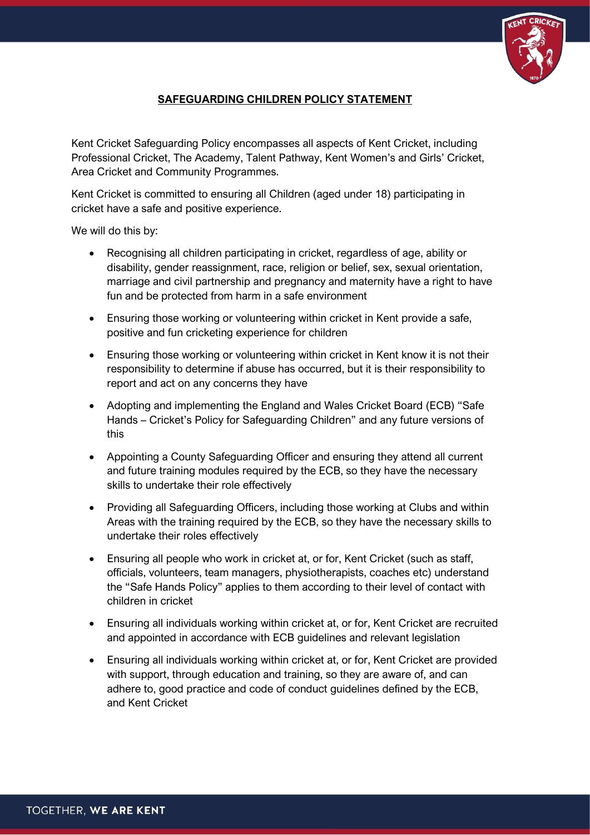

## **SAFEGUARDING CHILDREN POLICY STATEMENT**

Kent Cricket Safeguarding Policy encompasses all aspects of Kent Cricket, including Professional Cricket, The Academy, Talent Pathway, Kent Women's and Girls' Cricket, Area Cricket and Community Programmes.

Kent Cricket is committed to ensuring all Children (aged under 18) participating in cricket have a safe and positive experience.

We will do this by:

- Recognising all children participating in cricket, regardless of age, ability or disability, gender reassignment, race, religion or belief, sex, sexual orientation, marriage and civil partnership and pregnancy and maternity have a right to have fun and be protected from harm in a safe environment
- Ensuring those working or volunteering within cricket in Kent provide a safe, positive and fun cricketing experience for children
- Ensuring those working or volunteering within cricket in Kent know it is not their responsibility to determine if abuse has occurred, but it is their responsibility to report and act on any concerns they have
- Adopting and implementing the England and Wales Cricket Board (ECB) "Safe Hands – Cricket's Policy for Safeguarding Children" and any future versions of this
- Appointing a County Safeguarding Officer and ensuring they attend all current and future training modules required by the ECB, so they have the necessary skills to undertake their role effectively
- Providing all Safeguarding Officers, including those working at Clubs and within Areas with the training required by the ECB, so they have the necessary skills to undertake their roles effectively
- Ensuring all people who work in cricket at, or for, Kent Cricket (such as staff, officials, volunteers, team managers, physiotherapists, coaches etc) understand the "Safe Hands Policy" applies to them according to their level of contact with children in cricket
- Ensuring all individuals working within cricket at, or for, Kent Cricket are recruited and appointed in accordance with ECB guidelines and relevant legislation
- Ensuring all individuals working within cricket at, or for, Kent Cricket are provided with support, through education and training, so they are aware of, and can adhere to, good practice and code of conduct guidelines defined by the ECB, and Kent Cricket